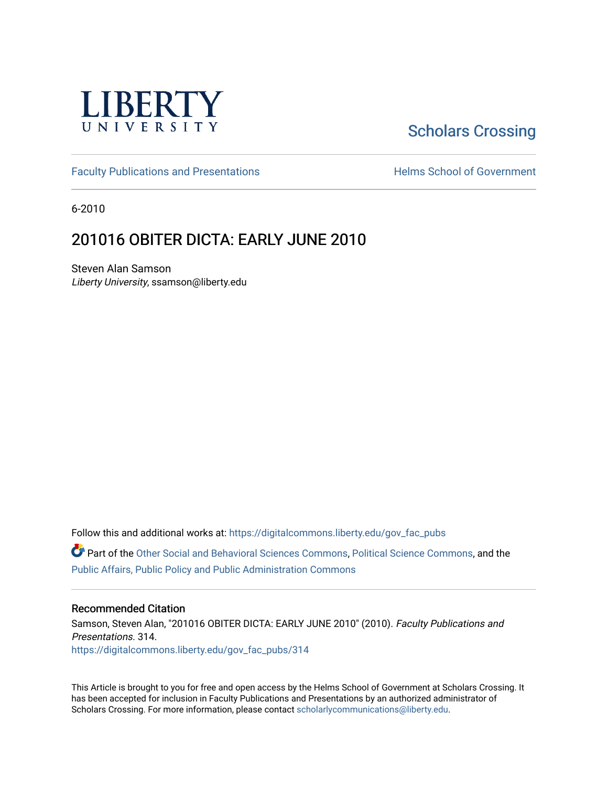

# [Scholars Crossing](https://digitalcommons.liberty.edu/)

[Faculty Publications and Presentations](https://digitalcommons.liberty.edu/gov_fac_pubs) **Exercise School of Government** 

6-2010

## 201016 OBITER DICTA: EARLY JUNE 2010

Steven Alan Samson Liberty University, ssamson@liberty.edu

Follow this and additional works at: [https://digitalcommons.liberty.edu/gov\\_fac\\_pubs](https://digitalcommons.liberty.edu/gov_fac_pubs?utm_source=digitalcommons.liberty.edu%2Fgov_fac_pubs%2F314&utm_medium=PDF&utm_campaign=PDFCoverPages)

Part of the [Other Social and Behavioral Sciences Commons](http://network.bepress.com/hgg/discipline/437?utm_source=digitalcommons.liberty.edu%2Fgov_fac_pubs%2F314&utm_medium=PDF&utm_campaign=PDFCoverPages), [Political Science Commons](http://network.bepress.com/hgg/discipline/386?utm_source=digitalcommons.liberty.edu%2Fgov_fac_pubs%2F314&utm_medium=PDF&utm_campaign=PDFCoverPages), and the [Public Affairs, Public Policy and Public Administration Commons](http://network.bepress.com/hgg/discipline/393?utm_source=digitalcommons.liberty.edu%2Fgov_fac_pubs%2F314&utm_medium=PDF&utm_campaign=PDFCoverPages)

#### Recommended Citation

Samson, Steven Alan, "201016 OBITER DICTA: EARLY JUNE 2010" (2010). Faculty Publications and Presentations. 314. [https://digitalcommons.liberty.edu/gov\\_fac\\_pubs/314](https://digitalcommons.liberty.edu/gov_fac_pubs/314?utm_source=digitalcommons.liberty.edu%2Fgov_fac_pubs%2F314&utm_medium=PDF&utm_campaign=PDFCoverPages)

This Article is brought to you for free and open access by the Helms School of Government at Scholars Crossing. It has been accepted for inclusion in Faculty Publications and Presentations by an authorized administrator of Scholars Crossing. For more information, please contact [scholarlycommunications@liberty.edu.](mailto:scholarlycommunications@liberty.edu)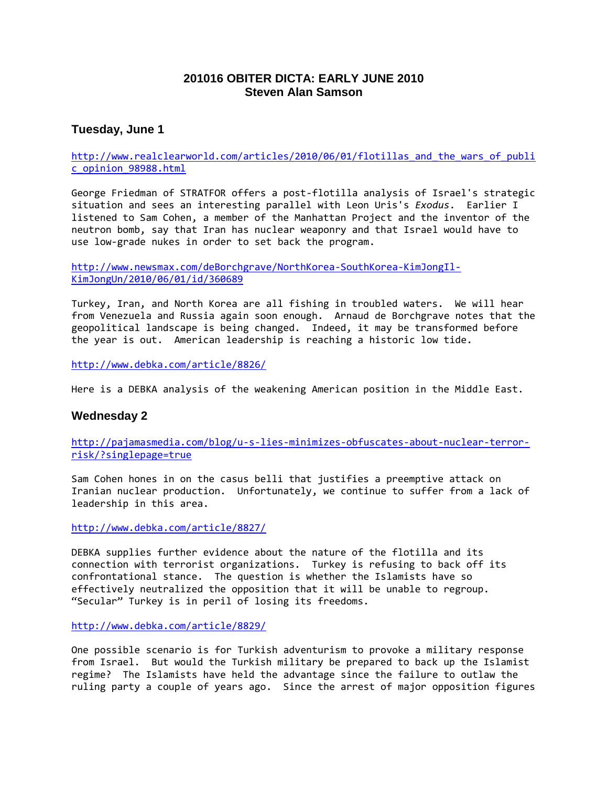## **201016 OBITER DICTA: EARLY JUNE 2010 Steven Alan Samson**

## **Tuesday, June 1**

http://www.realclearworld.com/articles/2010/06/01/flotillas and the wars of publi [c\\_opinion\\_98988.html](http://www.realclearworld.com/articles/2010/06/01/flotillas_and_the_wars_of_public_opinion_98988.html)

George Friedman of STRATFOR offers a post-flotilla analysis of Israel's strategic situation and sees an interesting parallel with Leon Uris's *Exodus*. Earlier I listened to Sam Cohen, a member of the Manhattan Project and the inventor of the neutron bomb, say that Iran has nuclear weaponry and that Israel would have to use low-grade nukes in order to set back the program.

[http://www.newsmax.com/deBorchgrave/NorthKorea-SouthKorea-KimJongIl-](http://www.newsmax.com/deBorchgrave/NorthKorea-SouthKorea-KimJongIl-KimJongUn/2010/06/01/id/360689)[KimJongUn/2010/06/01/id/360689](http://www.newsmax.com/deBorchgrave/NorthKorea-SouthKorea-KimJongIl-KimJongUn/2010/06/01/id/360689)

Turkey, Iran, and North Korea are all fishing in troubled waters. We will hear from Venezuela and Russia again soon enough. Arnaud de Borchgrave notes that the geopolitical landscape is being changed. Indeed, it may be transformed before the year is out. American leadership is reaching a historic low tide.

<http://www.debka.com/article/8826/>

Here is a DEBKA analysis of the weakening American position in the Middle East.

## **Wednesday 2**

[http://pajamasmedia.com/blog/u-s-lies-minimizes-obfuscates-about-nuclear-terror](http://pajamasmedia.com/blog/u-s-lies-minimizes-obfuscates-about-nuclear-terror-risk/?singlepage=true)[risk/?singlepage=true](http://pajamasmedia.com/blog/u-s-lies-minimizes-obfuscates-about-nuclear-terror-risk/?singlepage=true)

Sam Cohen hones in on the casus belli that justifies a preemptive attack on Iranian nuclear production. Unfortunately, we continue to suffer from a lack of leadership in this area.

<http://www.debka.com/article/8827/>

DEBKA supplies further evidence about the nature of the flotilla and its connection with terrorist organizations. Turkey is refusing to back off its confrontational stance. The question is whether the Islamists have so effectively neutralized the opposition that it will be unable to regroup. "Secular" Turkey is in peril of losing its freedoms.

<http://www.debka.com/article/8829/>

One possible scenario is for Turkish adventurism to provoke a military response from Israel. But would the Turkish military be prepared to back up the Islamist regime? The Islamists have held the advantage since the failure to outlaw the ruling party a couple of years ago. Since the arrest of major opposition figures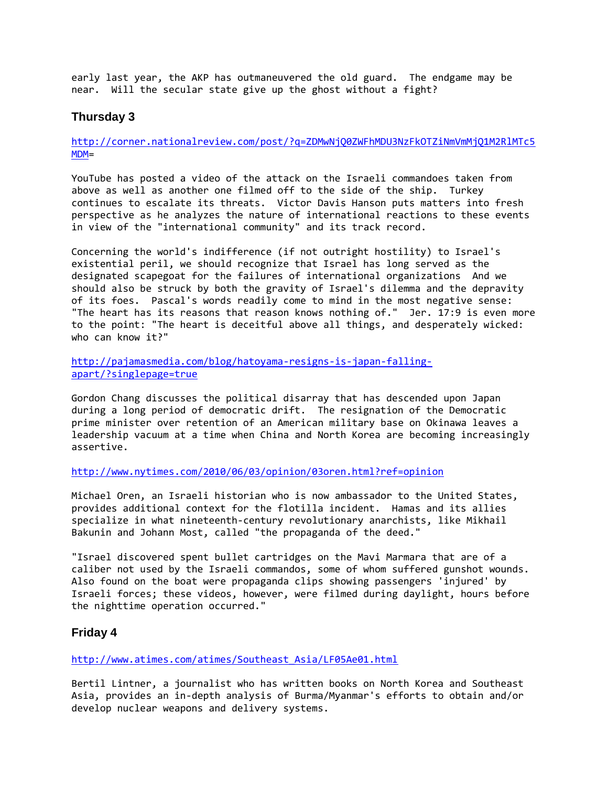early last year, the AKP has outmaneuvered the old guard. The endgame may be near. Will the secular state give up the ghost without a fight?

## **Thursday 3**

[http://corner.nationalreview.com/post/?q=ZDMwNjQ0ZWFhMDU3NzFkOTZiNmVmMjQ1M2RlMTc5](http://corner.nationalreview.com/post/?q=ZDMwNjQ0ZWFhMDU3NzFkOTZiNmVmMjQ1M2RlMTc5MDM) [MDM=](http://corner.nationalreview.com/post/?q=ZDMwNjQ0ZWFhMDU3NzFkOTZiNmVmMjQ1M2RlMTc5MDM)

YouTube has posted a video of the attack on the Israeli commandoes taken from above as well as another one filmed off to the side of the ship. Turkey continues to escalate its threats. Victor Davis Hanson puts matters into fresh perspective as he analyzes the nature of international reactions to these events in view of the "international community" and its track record.

Concerning the world's indifference (if not outright hostility) to Israel's existential peril, we should recognize that Israel has long served as the designated scapegoat for the failures of international organizations And we should also be struck by both the gravity of Israel's dilemma and the depravity of its foes. Pascal's words readily come to mind in the most negative sense: "The heart has its reasons that reason knows nothing of." Jer. 17:9 is even more to the point: "The heart is deceitful above all things, and desperately wicked: who can know it?"

[http://pajamasmedia.com/blog/hatoyama-resigns-is-japan-falling](http://pajamasmedia.com/blog/hatoyama-resigns-is-japan-falling-apart/?singlepage=true)[apart/?singlepage=true](http://pajamasmedia.com/blog/hatoyama-resigns-is-japan-falling-apart/?singlepage=true)

Gordon Chang discusses the political disarray that has descended upon Japan during a long period of democratic drift. The resignation of the Democratic prime minister over retention of an American military base on Okinawa leaves a leadership vacuum at a time when China and North Korea are becoming increasingly assertive.

<http://www.nytimes.com/2010/06/03/opinion/03oren.html?ref=opinion>

Michael Oren, an Israeli historian who is now ambassador to the United States, provides additional context for the flotilla incident. Hamas and its allies specialize in what nineteenth-century revolutionary anarchists, like Mikhail Bakunin and Johann Most, called "the propaganda of the deed."

"Israel discovered spent bullet cartridges on the Mavi Marmara that are of a caliber not used by the Israeli commandos, some of whom suffered gunshot wounds. Also found on the boat were propaganda clips showing passengers 'injured' by Israeli forces; these videos, however, were filmed during daylight, hours before the nighttime operation occurred."

## **Friday 4**

[http://www.atimes.com/atimes/Southeast\\_Asia/LF05Ae01.html](http://www.atimes.com/atimes/Southeast_Asia/LF05Ae01.html)

Bertil Lintner, a journalist who has written books on North Korea and Southeast Asia, provides an in-depth analysis of Burma/Myanmar's efforts to obtain and/or develop nuclear weapons and delivery systems.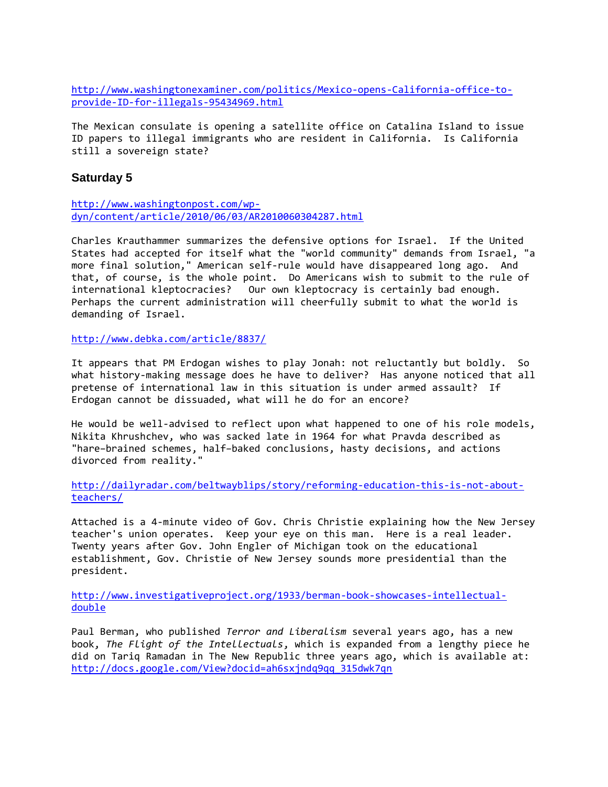[http://www.washingtonexaminer.com/politics/Mexico-opens-California-office-to](http://www.washingtonexaminer.com/politics/Mexico-opens-California-office-to-provide-ID-for-illegals-95434969.html)[provide-ID-for-illegals-95434969.html](http://www.washingtonexaminer.com/politics/Mexico-opens-California-office-to-provide-ID-for-illegals-95434969.html)

The Mexican consulate is opening a satellite office on Catalina Island to issue ID papers to illegal immigrants who are resident in California. Is California still a sovereign state?

#### **Saturday 5**

[http://www.washingtonpost.com/wp](http://www.washingtonpost.com/wp-dyn/content/article/2010/06/03/AR2010060304287.html)[dyn/content/article/2010/06/03/AR2010060304287.html](http://www.washingtonpost.com/wp-dyn/content/article/2010/06/03/AR2010060304287.html)

Charles Krauthammer summarizes the defensive options for Israel. If the United States had accepted for itself what the "world community" demands from Israel, "a more final solution," American self-rule would have disappeared long ago. And that, of course, is the whole point. Do Americans wish to submit to the rule of international kleptocracies? Our own kleptocracy is certainly bad enough. Perhaps the current administration will cheerfully submit to what the world is demanding of Israel.

<http://www.debka.com/article/8837/>

It appears that PM Erdogan wishes to play Jonah: not reluctantly but boldly. So what history-making message does he have to deliver? Has anyone noticed that all pretense of international law in this situation is under armed assault? If Erdogan cannot be dissuaded, what will he do for an encore?

He would be well-advised to reflect upon what happened to one of his role models, Nikita Khrushchev, who was sacked late in 1964 for what Pravda described as "hare−brained schemes, half−baked conclusions, hasty decisions, and actions divorced from reality."

[http://dailyradar.com/beltwayblips/story/reforming-education-this-is-not-about](http://dailyradar.com/beltwayblips/story/reforming-education-this-is-not-about-teachers/)[teachers/](http://dailyradar.com/beltwayblips/story/reforming-education-this-is-not-about-teachers/)

Attached is a 4-minute video of Gov. Chris Christie explaining how the New Jersey teacher's union operates. Keep your eye on this man. Here is a real leader. Twenty years after Gov. John Engler of Michigan took on the educational establishment, Gov. Christie of New Jersey sounds more presidential than the president.

[http://www.investigativeproject.org/1933/berman-book-showcases-intellectual](http://www.investigativeproject.org/1933/berman-book-showcases-intellectual-double)[double](http://www.investigativeproject.org/1933/berman-book-showcases-intellectual-double)

Paul Berman, who published *Terror and Liberalism* several years ago, has a new book, *The Flight of the Intellectuals*, which is expanded from a lengthy piece he did on Tariq Ramadan in The New Republic three years ago, which is available at: [http://docs.google.com/View?docid=ah6sxjndq9qq\\_315dwk7qn](http://docs.google.com/View?docid=ah6sxjndq9qq_315dwk7qn)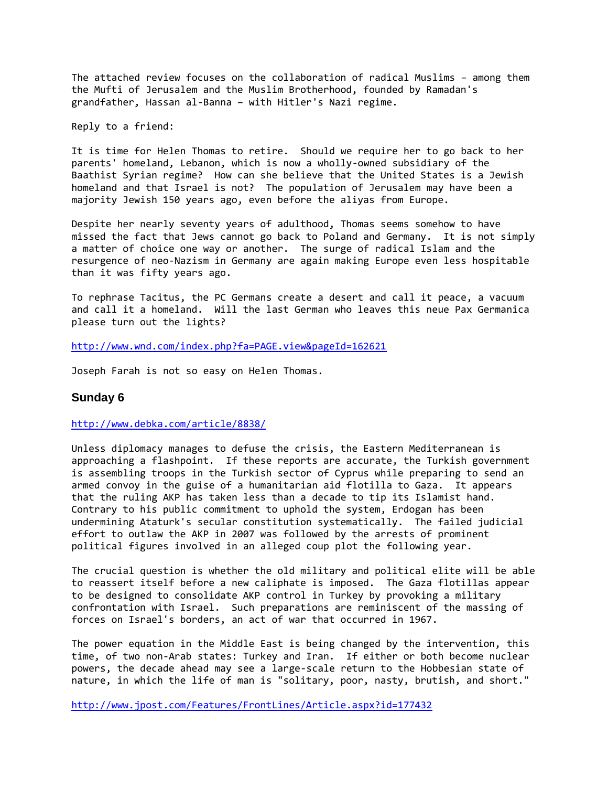The attached review focuses on the collaboration of radical Muslims – among them the Mufti of Jerusalem and the Muslim Brotherhood, founded by Ramadan's grandfather, Hassan al-Banna – with Hitler's Nazi regime.

Reply to a friend:

It is time for Helen Thomas to retire. Should we require her to go back to her parents' homeland, Lebanon, which is now a wholly-owned subsidiary of the Baathist Syrian regime? How can she believe that the United States is a Jewish homeland and that Israel is not? The population of Jerusalem may have been a majority Jewish 150 years ago, even before the aliyas from Europe.

Despite her nearly seventy years of adulthood, Thomas seems somehow to have missed the fact that Jews cannot go back to Poland and Germany. It is not simply a matter of choice one way or another. The surge of radical Islam and the resurgence of neo-Nazism in Germany are again making Europe even less hospitable than it was fifty years ago.

To rephrase Tacitus, the PC Germans create a desert and call it peace, a vacuum and call it a homeland. Will the last German who leaves this neue Pax Germanica please turn out the lights?

<http://www.wnd.com/index.php?fa=PAGE.view&pageId=162621>

Joseph Farah is not so easy on Helen Thomas.

#### **Sunday 6**

<http://www.debka.com/article/8838/>

Unless diplomacy manages to defuse the crisis, the Eastern Mediterranean is approaching a flashpoint. If these reports are accurate, the Turkish government is assembling troops in the Turkish sector of Cyprus while preparing to send an armed convoy in the guise of a humanitarian aid flotilla to Gaza. It appears that the ruling AKP has taken less than a decade to tip its Islamist hand. Contrary to his public commitment to uphold the system, Erdogan has been undermining Ataturk's secular constitution systematically. The failed judicial effort to outlaw the AKP in 2007 was followed by the arrests of prominent political figures involved in an alleged coup plot the following year.

The crucial question is whether the old military and political elite will be able to reassert itself before a new caliphate is imposed. The Gaza flotillas appear to be designed to consolidate AKP control in Turkey by provoking a military confrontation with Israel. Such preparations are reminiscent of the massing of forces on Israel's borders, an act of war that occurred in 1967.

The power equation in the Middle East is being changed by the intervention, this time, of two non-Arab states: Turkey and Iran. If either or both become nuclear powers, the decade ahead may see a large-scale return to the Hobbesian state of nature, in which the life of man is "solitary, poor, nasty, brutish, and short."

<http://www.jpost.com/Features/FrontLines/Article.aspx?id=177432>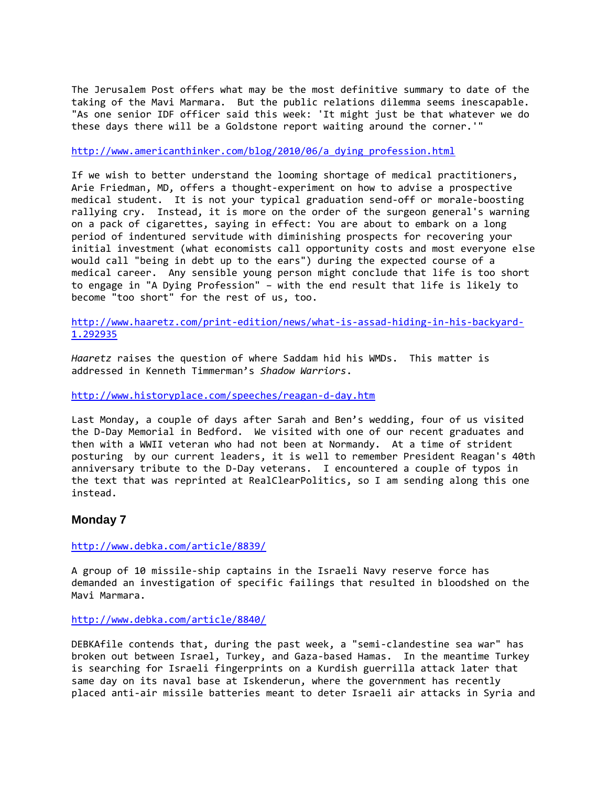The Jerusalem Post offers what may be the most definitive summary to date of the taking of the Mavi Marmara. But the public relations dilemma seems inescapable. "As one senior IDF officer said this week: 'It might just be that whatever we do these days there will be a Goldstone report waiting around the corner.'"

[http://www.americanthinker.com/blog/2010/06/a\\_dying\\_profession.html](http://www.americanthinker.com/blog/2010/06/a_dying_profession.html)

If we wish to better understand the looming shortage of medical practitioners, Arie Friedman, MD, offers a thought-experiment on how to advise a prospective medical student. It is not your typical graduation send-off or morale-boosting rallying cry. Instead, it is more on the order of the surgeon general's warning on a pack of cigarettes, saying in effect: You are about to embark on a long period of indentured servitude with diminishing prospects for recovering your initial investment (what economists call opportunity costs and most everyone else would call "being in debt up to the ears") during the expected course of a medical career. Any sensible young person might conclude that life is too short to engage in "A Dying Profession" – with the end result that life is likely to become "too short" for the rest of us, too.

[http://www.haaretz.com/print-edition/news/what-is-assad-hiding-in-his-backyard-](http://www.haaretz.com/print-edition/news/what-is-assad-hiding-in-his-backyard-1.292935)[1.292935](http://www.haaretz.com/print-edition/news/what-is-assad-hiding-in-his-backyard-1.292935)

*Haaretz* raises the question of where Saddam hid his WMDs. This matter is addressed in Kenneth Timmerman's *Shadow Warriors*.

<http://www.historyplace.com/speeches/reagan-d-day.htm>

Last Monday, a couple of days after Sarah and Ben's wedding, four of us visited the D-Day Memorial in Bedford. We visited with one of our recent graduates and then with a WWII veteran who had not been at Normandy. At a time of strident posturing by our current leaders, it is well to remember President Reagan's 40th anniversary tribute to the D-Day veterans. I encountered a couple of typos in the text that was reprinted at RealClearPolitics, so I am sending along this one instead.

## **Monday 7**

<http://www.debka.com/article/8839/>

A group of 10 missile-ship captains in the Israeli Navy reserve force has demanded an investigation of specific failings that resulted in bloodshed on the Mavi Marmara.

<http://www.debka.com/article/8840/>

DEBKAfile contends that, during the past week, a "semi-clandestine sea war" has broken out between Israel, Turkey, and Gaza-based Hamas. In the meantime Turkey is searching for Israeli fingerprints on a Kurdish guerrilla attack later that same day on its naval base at Iskenderun, where the government has recently placed anti-air missile batteries meant to deter Israeli air attacks in Syria and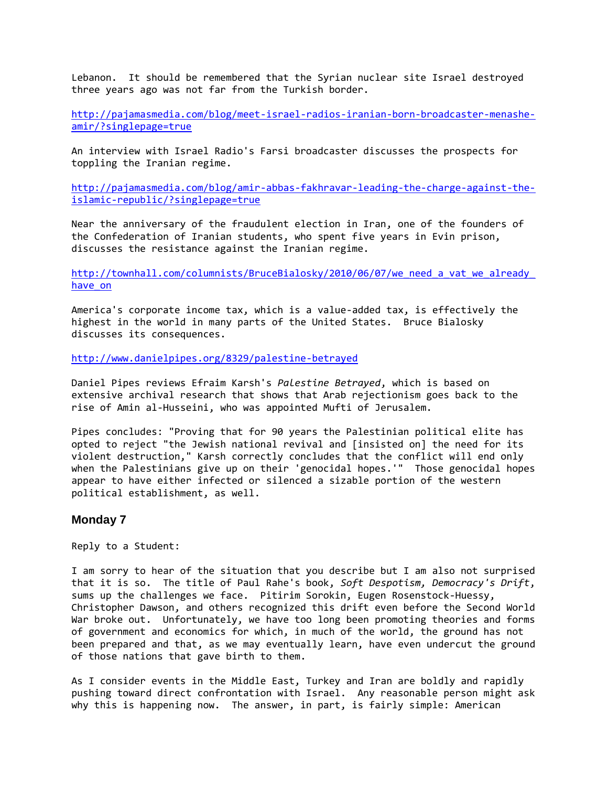Lebanon. It should be remembered that the Syrian nuclear site Israel destroyed three years ago was not far from the Turkish border.

[http://pajamasmedia.com/blog/meet-israel-radios-iranian-born-broadcaster-menashe](http://pajamasmedia.com/blog/meet-israel-radios-iranian-born-broadcaster-menashe-amir/?singlepage=true)[amir/?singlepage=true](http://pajamasmedia.com/blog/meet-israel-radios-iranian-born-broadcaster-menashe-amir/?singlepage=true)

An interview with Israel Radio's Farsi broadcaster discusses the prospects for toppling the Iranian regime.

[http://pajamasmedia.com/blog/amir-abbas-fakhravar-leading-the-charge-against-the](http://pajamasmedia.com/blog/amir-abbas-fakhravar-leading-the-charge-against-the-islamic-republic/?singlepage=true)[islamic-republic/?singlepage=true](http://pajamasmedia.com/blog/amir-abbas-fakhravar-leading-the-charge-against-the-islamic-republic/?singlepage=true)

Near the anniversary of the fraudulent election in Iran, one of the founders of the Confederation of Iranian students, who spent five years in Evin prison, discusses the resistance against the Iranian regime.

[http://townhall.com/columnists/BruceBialosky/2010/06/07/we\\_need\\_a\\_vat\\_we\\_already\\_](http://townhall.com/columnists/BruceBialosky/2010/06/07/we_need_a_vat_we_already_have_on) [have\\_on](http://townhall.com/columnists/BruceBialosky/2010/06/07/we_need_a_vat_we_already_have_on)

America's corporate income tax, which is a value-added tax, is effectively the highest in the world in many parts of the United States. Bruce Bialosky discusses its consequences.

<http://www.danielpipes.org/8329/palestine-betrayed>

Daniel Pipes reviews Efraim Karsh's *Palestine Betrayed*, which is based on extensive archival research that shows that Arab rejectionism goes back to the rise of Amin al-Husseini, who was appointed Mufti of Jerusalem.

Pipes concludes: "Proving that for 90 years the Palestinian political elite has opted to reject "the Jewish national revival and [insisted on] the need for its violent destruction," Karsh correctly concludes that the conflict will end only when the Palestinians give up on their 'genocidal hopes.'" Those genocidal hopes appear to have either infected or silenced a sizable portion of the western political establishment, as well.

#### **Monday 7**

Reply to a Student:

I am sorry to hear of the situation that you describe but I am also not surprised that it is so. The title of Paul Rahe's book, *Soft Despotism, Democracy's Drift*, sums up the challenges we face. Pitirim Sorokin, Eugen Rosenstock-Huessy, Christopher Dawson, and others recognized this drift even before the Second World War broke out. Unfortunately, we have too long been promoting theories and forms of government and economics for which, in much of the world, the ground has not been prepared and that, as we may eventually learn, have even undercut the ground of those nations that gave birth to them.

As I consider events in the Middle East, Turkey and Iran are boldly and rapidly pushing toward direct confrontation with Israel. Any reasonable person might ask why this is happening now. The answer, in part, is fairly simple: American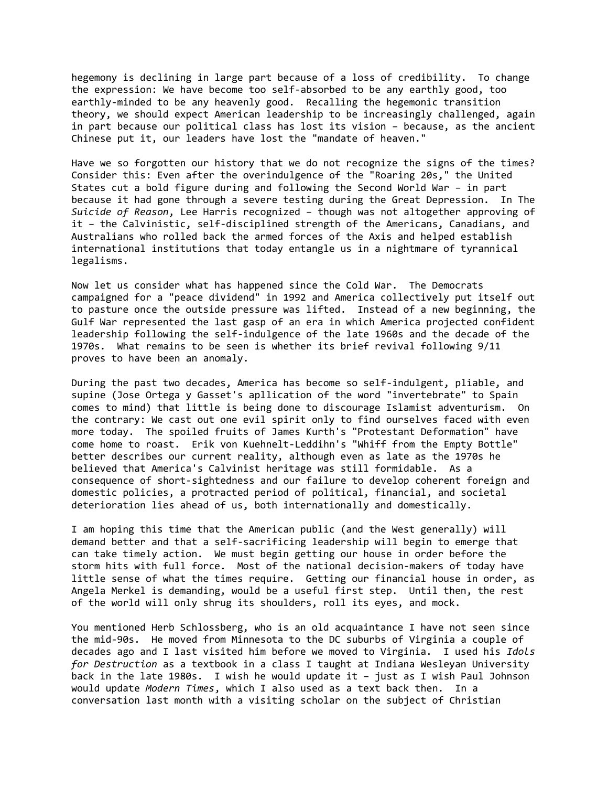hegemony is declining in large part because of a loss of credibility. To change the expression: We have become too self-absorbed to be any earthly good, too earthly-minded to be any heavenly good. Recalling the hegemonic transition theory, we should expect American leadership to be increasingly challenged, again in part because our political class has lost its vision – because, as the ancient Chinese put it, our leaders have lost the "mandate of heaven."

Have we so forgotten our history that we do not recognize the signs of the times? Consider this: Even after the overindulgence of the "Roaring 20s," the United States cut a bold figure during and following the Second World War – in part because it had gone through a severe testing during the Great Depression. In The *Suicide of Reason*, Lee Harris recognized – though was not altogether approving of it – the Calvinistic, self-disciplined strength of the Americans, Canadians, and Australians who rolled back the armed forces of the Axis and helped establish international institutions that today entangle us in a nightmare of tyrannical legalisms.

Now let us consider what has happened since the Cold War. The Democrats campaigned for a "peace dividend" in 1992 and America collectively put itself out to pasture once the outside pressure was lifted. Instead of a new beginning, the Gulf War represented the last gasp of an era in which America projected confident leadership following the self-indulgence of the late 1960s and the decade of the 1970s. What remains to be seen is whether its brief revival following 9/11 proves to have been an anomaly.

During the past two decades, America has become so self-indulgent, pliable, and supine (Jose Ortega y Gasset's apllication of the word "invertebrate" to Spain comes to mind) that little is being done to discourage Islamist adventurism. On the contrary: We cast out one evil spirit only to find ourselves faced with even more today. The spoiled fruits of James Kurth's "Protestant Deformation" have come home to roast. Erik von Kuehnelt-Leddihn's "Whiff from the Empty Bottle" better describes our current reality, although even as late as the 1970s he believed that America's Calvinist heritage was still formidable. As a consequence of short-sightedness and our failure to develop coherent foreign and domestic policies, a protracted period of political, financial, and societal deterioration lies ahead of us, both internationally and domestically.

I am hoping this time that the American public (and the West generally) will demand better and that a self-sacrificing leadership will begin to emerge that can take timely action. We must begin getting our house in order before the storm hits with full force. Most of the national decision-makers of today have little sense of what the times require. Getting our financial house in order, as Angela Merkel is demanding, would be a useful first step. Until then, the rest of the world will only shrug its shoulders, roll its eyes, and mock.

You mentioned Herb Schlossberg, who is an old acquaintance I have not seen since the mid-90s. He moved from Minnesota to the DC suburbs of Virginia a couple of decades ago and I last visited him before we moved to Virginia. I used his *Idols for Destruction* as a textbook in a class I taught at Indiana Wesleyan University back in the late 1980s. I wish he would update it – just as I wish Paul Johnson would update *Modern Times*, which I also used as a text back then. In a conversation last month with a visiting scholar on the subject of Christian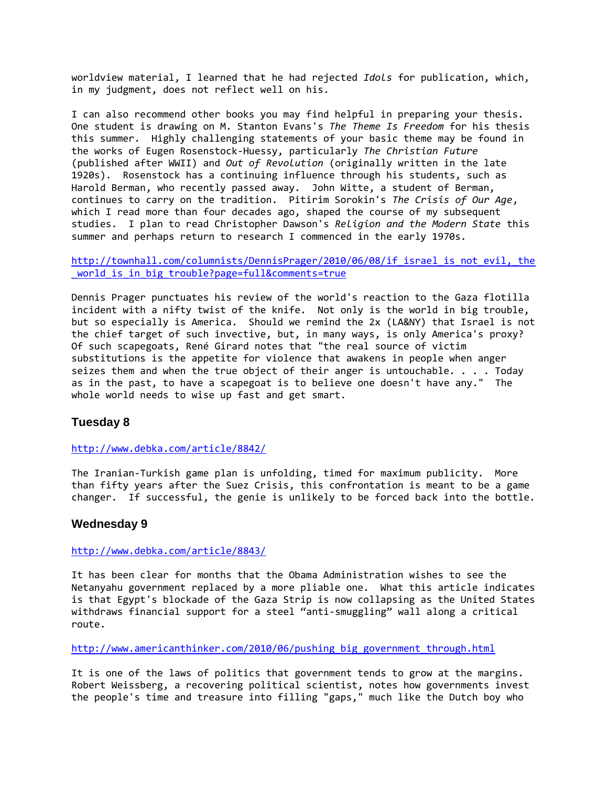worldview material, I learned that he had rejected *Idols* for publication, which, in my judgment, does not reflect well on his.

I can also recommend other books you may find helpful in preparing your thesis. One student is drawing on M. Stanton Evans's *The Theme Is Freedom* for his thesis this summer. Highly challenging statements of your basic theme may be found in the works of Eugen Rosenstock-Huessy, particularly *The Christian Future* (published after WWII) and *Out of Revolution* (originally written in the late 1920s). Rosenstock has a continuing influence through his students, such as Harold Berman, who recently passed away. John Witte, a student of Berman, continues to carry on the tradition. Pitirim Sorokin's *The Crisis of Our Age*, which I read more than four decades ago, shaped the course of my subsequent studies. I plan to read Christopher Dawson's *Religion and the Modern State* this summer and perhaps return to research I commenced in the early 1970s.

http://townhall.com/columnists/DennisPrager/2010/06/08/if israel is not evil, the [\\_world\\_is\\_in\\_big\\_trouble?page=full&comments=true](http://townhall.com/columnists/DennisPrager/2010/06/08/if_israel_is_not_evil,_the_world_is_in_big_trouble?page=full&comments=true)

Dennis Prager punctuates his review of the world's reaction to the Gaza flotilla incident with a nifty twist of the knife. Not only is the world in big trouble, but so especially is America. Should we remind the 2x (LA&NY) that Israel is not the chief target of such invective, but, in many ways, is only America's proxy? Of such scapegoats, René Girard notes that "the real source of victim substitutions is the appetite for violence that awakens in people when anger seizes them and when the true object of their anger is untouchable. . . . Today as in the past, to have a scapegoat is to believe one doesn't have any." The whole world needs to wise up fast and get smart.

#### **Tuesday 8**

<http://www.debka.com/article/8842/>

The Iranian-Turkish game plan is unfolding, timed for maximum publicity. More than fifty years after the Suez Crisis, this confrontation is meant to be a game changer. If successful, the genie is unlikely to be forced back into the bottle.

#### **Wednesday 9**

#### <http://www.debka.com/article/8843/>

It has been clear for months that the Obama Administration wishes to see the Netanyahu government replaced by a more pliable one. What this article indicates is that Egypt's blockade of the Gaza Strip is now collapsing as the United States withdraws financial support for a steel "anti-smuggling" wall along a critical route.

[http://www.americanthinker.com/2010/06/pushing\\_big\\_government\\_through.html](http://www.americanthinker.com/2010/06/pushing_big_government_through.html)

It is one of the laws of politics that government tends to grow at the margins. Robert Weissberg, a recovering political scientist, notes how governments invest the people's time and treasure into filling "gaps," much like the Dutch boy who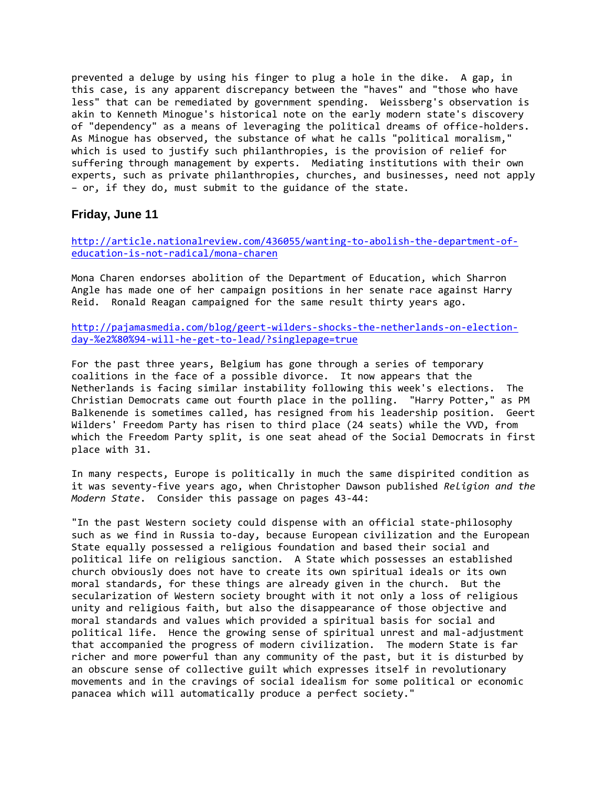prevented a deluge by using his finger to plug a hole in the dike. A gap, in this case, is any apparent discrepancy between the "haves" and "those who have less" that can be remediated by government spending. Weissberg's observation is akin to Kenneth Minogue's historical note on the early modern state's discovery of "dependency" as a means of leveraging the political dreams of office-holders. As Minogue has observed, the substance of what he calls "political moralism," which is used to justify such philanthropies, is the provision of relief for suffering through management by experts. Mediating institutions with their own experts, such as private philanthropies, churches, and businesses, need not apply – or, if they do, must submit to the guidance of the state.

#### **Friday, June 11**

[http://article.nationalreview.com/436055/wanting-to-abolish-the-department-of](http://article.nationalreview.com/436055/wanting-to-abolish-the-department-of-education-is-not-radical/mona-charen)[education-is-not-radical/mona-charen](http://article.nationalreview.com/436055/wanting-to-abolish-the-department-of-education-is-not-radical/mona-charen)

Mona Charen endorses abolition of the Department of Education, which Sharron Angle has made one of her campaign positions in her senate race against Harry Reid. Ronald Reagan campaigned for the same result thirty years ago.

[http://pajamasmedia.com/blog/geert-wilders-shocks-the-netherlands-on-election](http://pajamasmedia.com/blog/geert-wilders-shocks-the-netherlands-on-election-day-%e2%80%94-will-he-get-to-lead/?singlepage=true)[day-%e2%80%94-will-he-get-to-lead/?singlepage=true](http://pajamasmedia.com/blog/geert-wilders-shocks-the-netherlands-on-election-day-%e2%80%94-will-he-get-to-lead/?singlepage=true)

For the past three years, Belgium has gone through a series of temporary coalitions in the face of a possible divorce. It now appears that the Netherlands is facing similar instability following this week's elections. The Christian Democrats came out fourth place in the polling. "Harry Potter," as PM Balkenende is sometimes called, has resigned from his leadership position. Geert Wilders' Freedom Party has risen to third place (24 seats) while the VVD, from which the Freedom Party split, is one seat ahead of the Social Democrats in first place with 31.

In many respects, Europe is politically in much the same dispirited condition as it was seventy-five years ago, when Christopher Dawson published *Religion and the Modern State*. Consider this passage on pages 43-44:

"In the past Western society could dispense with an official state-philosophy such as we find in Russia to-day, because European civilization and the European State equally possessed a religious foundation and based their social and political life on religious sanction. A State which possesses an established church obviously does not have to create its own spiritual ideals or its own moral standards, for these things are already given in the church. But the secularization of Western society brought with it not only a loss of religious unity and religious faith, but also the disappearance of those objective and moral standards and values which provided a spiritual basis for social and political life. Hence the growing sense of spiritual unrest and mal-adjustment that accompanied the progress of modern civilization. The modern State is far richer and more powerful than any community of the past, but it is disturbed by an obscure sense of collective guilt which expresses itself in revolutionary movements and in the cravings of social idealism for some political or economic panacea which will automatically produce a perfect society."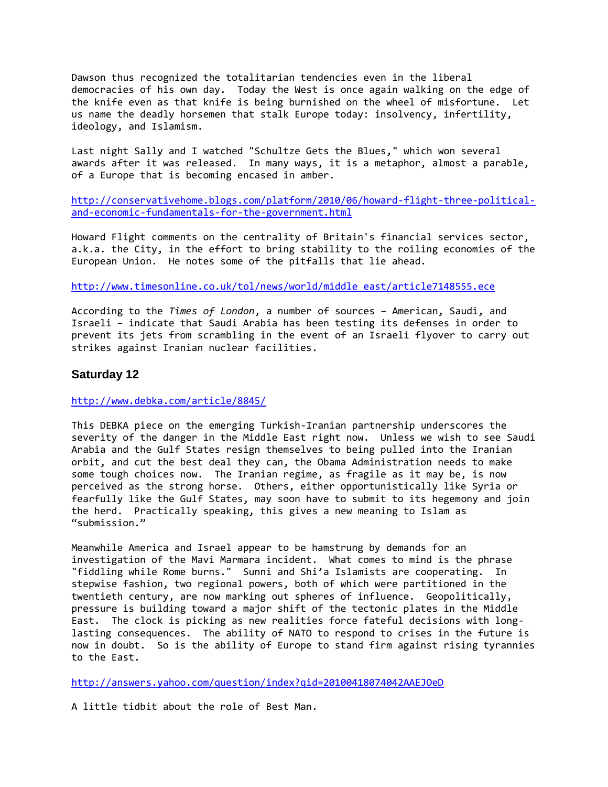Dawson thus recognized the totalitarian tendencies even in the liberal democracies of his own day. Today the West is once again walking on the edge of the knife even as that knife is being burnished on the wheel of misfortune. Let us name the deadly horsemen that stalk Europe today: insolvency, infertility, ideology, and Islamism.

Last night Sally and I watched "Schultze Gets the Blues," which won several awards after it was released. In many ways, it is a metaphor, almost a parable, of a Europe that is becoming encased in amber.

[http://conservativehome.blogs.com/platform/2010/06/howard-flight-three-political](http://conservativehome.blogs.com/platform/2010/06/howard-flight-three-political-and-economic-fundamentals-for-the-government.html)[and-economic-fundamentals-for-the-government.html](http://conservativehome.blogs.com/platform/2010/06/howard-flight-three-political-and-economic-fundamentals-for-the-government.html)

Howard Flight comments on the centrality of Britain's financial services sector, a.k.a. the City, in the effort to bring stability to the roiling economies of the European Union. He notes some of the pitfalls that lie ahead.

[http://www.timesonline.co.uk/tol/news/world/middle\\_east/article7148555.ece](http://www.timesonline.co.uk/tol/news/world/middle_east/article7148555.ece)

According to the *Times of London*, a number of sources – American, Saudi, and Israeli – indicate that Saudi Arabia has been testing its defenses in order to prevent its jets from scrambling in the event of an Israeli flyover to carry out strikes against Iranian nuclear facilities.

#### **Saturday 12**

<http://www.debka.com/article/8845/>

This DEBKA piece on the emerging Turkish-Iranian partnership underscores the severity of the danger in the Middle East right now. Unless we wish to see Saudi Arabia and the Gulf States resign themselves to being pulled into the Iranian orbit, and cut the best deal they can, the Obama Administration needs to make some tough choices now. The Iranian regime, as fragile as it may be, is now perceived as the strong horse. Others, either opportunistically like Syria or fearfully like the Gulf States, may soon have to submit to its hegemony and join the herd. Practically speaking, this gives a new meaning to Islam as "submission."

Meanwhile America and Israel appear to be hamstrung by demands for an investigation of the Mavi Marmara incident. What comes to mind is the phrase "fiddling while Rome burns." Sunni and Shi'a Islamists are cooperating. In stepwise fashion, two regional powers, both of which were partitioned in the twentieth century, are now marking out spheres of influence. Geopolitically, pressure is building toward a major shift of the tectonic plates in the Middle East. The clock is picking as new realities force fateful decisions with longlasting consequences. The ability of NATO to respond to crises in the future is now in doubt. So is the ability of Europe to stand firm against rising tyrannies to the East.

<http://answers.yahoo.com/question/index?qid=20100418074042AAEJOeD>

A little tidbit about the role of Best Man.